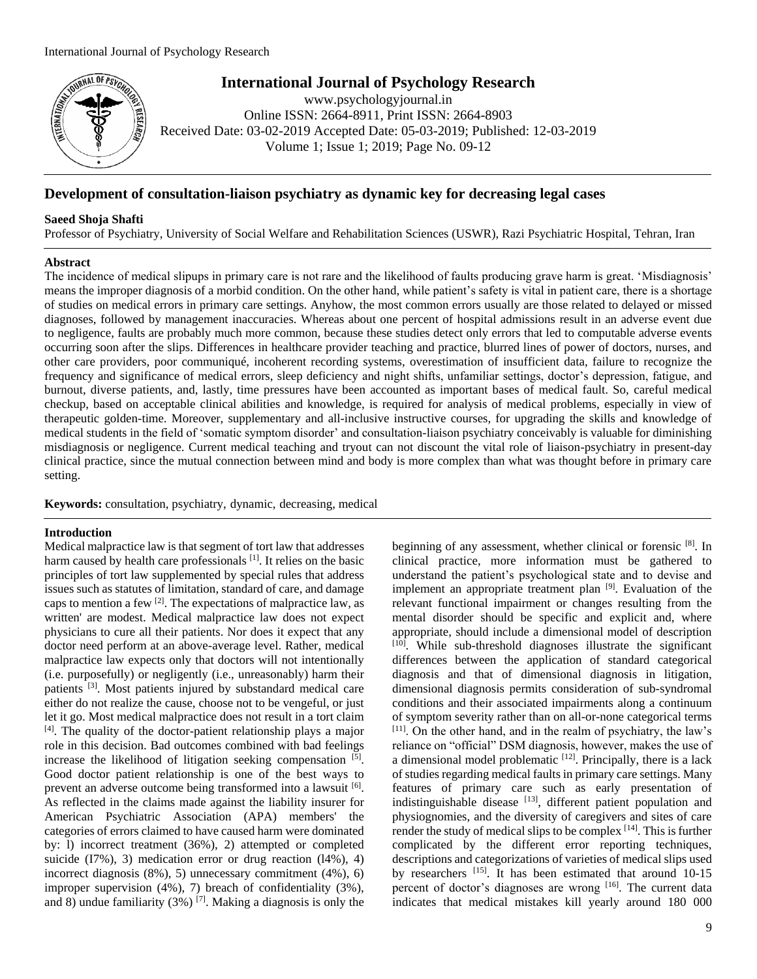

# **International Journal of Psychology Research**

www.psychologyjournal.in Online ISSN: 2664-8911, Print ISSN: 2664-8903 Received Date: 03-02-2019 Accepted Date: 05-03-2019; Published: 12-03-2019 Volume 1; Issue 1; 2019; Page No. 09-12

## **Development of consultation-liaison psychiatry as dynamic key for decreasing legal cases**

#### **Saeed Shoja Shafti**

Professor of Psychiatry, University of Social Welfare and Rehabilitation Sciences (USWR), Razi Psychiatric Hospital, Tehran, Iran

#### **Abstract**

The incidence of medical slipups in primary care is not rare and the likelihood of faults producing grave harm is great. 'Misdiagnosis' means the improper diagnosis of a morbid condition. On the other hand, while patient's safety is vital in patient care, there is a shortage of studies on medical errors in primary care settings. Anyhow, the most common errors usually are those related to delayed or missed diagnoses, followed by management inaccuracies. Whereas about one percent of hospital admissions result in an adverse event due to negligence, faults are probably much more common, because these studies detect only errors that led to computable adverse events occurring soon after the slips. Differences in healthcare provider teaching and practice, blurred lines of power of doctors, nurses, and other care providers, poor communiqué, incoherent recording systems, overestimation of insufficient data, failure to recognize the frequency and significance of medical errors, sleep deficiency and night shifts, unfamiliar settings, doctor's depression, fatigue, and burnout, diverse patients, and, lastly, time pressures have been accounted as important bases of medical fault. So, careful medical checkup, based on acceptable clinical abilities and knowledge, is required for analysis of medical problems, especially in view of therapeutic golden-time. Moreover, supplementary and all-inclusive instructive courses, for upgrading the skills and knowledge of medical students in the field of 'somatic symptom disorder' and consultation-liaison psychiatry conceivably is valuable for diminishing misdiagnosis or negligence. Current medical teaching and tryout can not discount the vital role of liaison-psychiatry in present-day clinical practice, since the mutual connection between mind and body is more complex than what was thought before in primary care setting.

**Keywords:** consultation, psychiatry, dynamic, decreasing, medical

#### **Introduction**

Medical malpractice law is that segment of tort law that addresses harm caused by health care professionals <sup>[1]</sup>. It relies on the basic principles of tort law supplemented by special rules that address issues such as statutes of limitation, standard of care, and damage caps to mention a few  $[2]$ . The expectations of malpractice law, as written' are modest. Medical malpractice law does not expect physicians to cure all their patients. Nor does it expect that any doctor need perform at an above-average level. Rather, medical malpractice law expects only that doctors will not intentionally (i.e. purposefully) or negligently (i.e., unreasonably) harm their patients [3]. Most patients injured by substandard medical care either do not realize the cause, choose not to be vengeful, or just let it go. Most medical malpractice does not result in a tort claim [4]. The quality of the doctor-patient relationship plays a major role in this decision. Bad outcomes combined with bad feelings increase the likelihood of litigation seeking compensation [5]. Good doctor patient relationship is one of the best ways to prevent an adverse outcome being transformed into a lawsuit [6]. As reflected in the claims made against the liability insurer for American Psychiatric Association (APA) members' the categories of errors claimed to have caused harm were dominated by: l) incorrect treatment (36%), 2) attempted or completed suicide (I7%), 3) medication error or drug reaction (l4%), 4) incorrect diagnosis (8%), 5) unnecessary commitment (4%), 6) improper supervision (4%), 7) breach of confidentiality (3%), and 8) undue familiarity (3%)  $[7]$ . Making a diagnosis is only the

beginning of any assessment, whether clinical or forensic [8]. In clinical practice, more information must be gathered to understand the patient's psychological state and to devise and implement an appropriate treatment plan <sup>[9]</sup>. Evaluation of the relevant functional impairment or changes resulting from the mental disorder should be specific and explicit and, where appropriate, should include a dimensional model of description [10]. While sub-threshold diagnoses illustrate the significant differences between the application of standard categorical diagnosis and that of dimensional diagnosis in litigation, dimensional diagnosis permits consideration of sub-syndromal conditions and their associated impairments along a continuum of symptom severity rather than on all-or-none categorical terms [11]. On the other hand, and in the realm of psychiatry, the law's reliance on "official" DSM diagnosis, however, makes the use of a dimensional model problematic  $[12]$ . Principally, there is a lack of studies regarding medical faults in primary care settings. Many features of primary care such as early presentation of indistinguishable disease [13], different patient population and physiognomies, and the diversity of caregivers and sites of care render the study of medical slips to be complex  $[14]$ . This is further complicated by the different error reporting techniques, descriptions and categorizations of varieties of medical slips used by researchers [15]. It has been estimated that around 10-15 percent of doctor's diagnoses are wrong [16]. The current data indicates that medical mistakes kill yearly around 180 000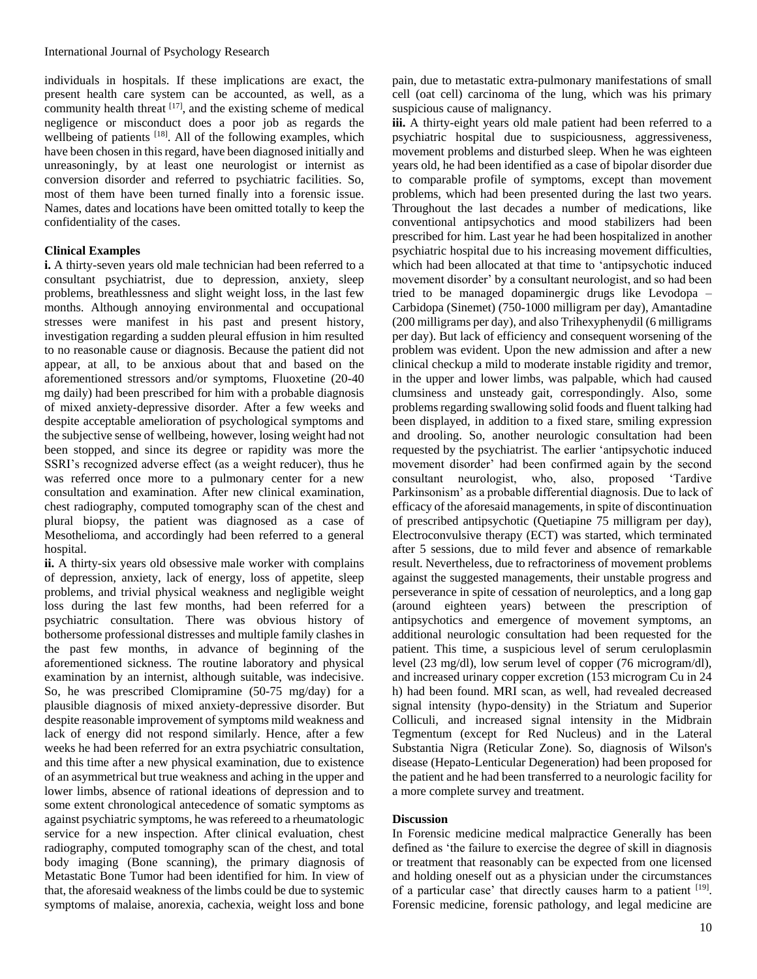individuals in hospitals. If these implications are exact, the present health care system can be accounted, as well, as a community health threat [17], and the existing scheme of medical negligence or misconduct does a poor job as regards the wellbeing of patients [18]. All of the following examples, which have been chosen in this regard, have been diagnosed initially and unreasoningly, by at least one neurologist or internist as conversion disorder and referred to psychiatric facilities. So, most of them have been turned finally into a forensic issue. Names, dates and locations have been omitted totally to keep the confidentiality of the cases.

### **Clinical Examples**

**i.** A thirty-seven years old male technician had been referred to a consultant psychiatrist, due to depression, anxiety, sleep problems, breathlessness and slight weight loss, in the last few months. Although annoying environmental and occupational stresses were manifest in his past and present history, investigation regarding a sudden pleural effusion in him resulted to no reasonable cause or diagnosis. Because the patient did not appear, at all, to be anxious about that and based on the aforementioned stressors and/or symptoms, Fluoxetine (20-40 mg daily) had been prescribed for him with a probable diagnosis of mixed anxiety-depressive disorder. After a few weeks and despite acceptable amelioration of psychological symptoms and the subjective sense of wellbeing, however, losing weight had not been stopped, and since its degree or rapidity was more the SSRI's recognized adverse effect (as a weight reducer), thus he was referred once more to a pulmonary center for a new consultation and examination. After new clinical examination, chest radiography, computed tomography scan of the chest and plural biopsy, the patient was diagnosed as a case of Mesothelioma, and accordingly had been referred to a general hospital.

**ii.** A thirty-six years old obsessive male worker with complains of depression, anxiety, lack of energy, loss of appetite, sleep problems, and trivial physical weakness and negligible weight loss during the last few months, had been referred for a psychiatric consultation. There was obvious history of bothersome professional distresses and multiple family clashes in the past few months, in advance of beginning of the aforementioned sickness. The routine laboratory and physical examination by an internist, although suitable, was indecisive. So, he was prescribed Clomipramine (50-75 mg/day) for a plausible diagnosis of mixed anxiety-depressive disorder. But despite reasonable improvement of symptoms mild weakness and lack of energy did not respond similarly. Hence, after a few weeks he had been referred for an extra psychiatric consultation, and this time after a new physical examination, due to existence of an asymmetrical but true weakness and aching in the upper and lower limbs, absence of rational ideations of depression and to some extent chronological antecedence of somatic symptoms as against psychiatric symptoms, he was refereed to a rheumatologic service for a new inspection. After clinical evaluation, chest radiography, computed tomography scan of the chest, and total body imaging (Bone scanning), the primary diagnosis of Metastatic Bone Tumor had been identified for him. In view of that, the aforesaid weakness of the limbs could be due to systemic symptoms of malaise, anorexia, cachexia, weight loss and bone

pain, due to metastatic extra-pulmonary manifestations of small cell (oat cell) carcinoma of the lung, which was his primary suspicious cause of malignancy.

**iii.** A thirty-eight years old male patient had been referred to a psychiatric hospital due to suspiciousness, aggressiveness, movement problems and disturbed sleep. When he was eighteen years old, he had been identified as a case of bipolar disorder due to comparable profile of symptoms, except than movement problems, which had been presented during the last two years. Throughout the last decades a number of medications, like conventional antipsychotics and mood stabilizers had been prescribed for him. Last year he had been hospitalized in another psychiatric hospital due to his increasing movement difficulties, which had been allocated at that time to 'antipsychotic induced movement disorder' by a consultant neurologist, and so had been tried to be managed dopaminergic drugs like Levodopa – Carbidopa (Sinemet) (750-1000 milligram per day), Amantadine (200 milligrams per day), and also Trihexyphenydil (6 milligrams per day). But lack of efficiency and consequent worsening of the problem was evident. Upon the new admission and after a new clinical checkup a mild to moderate instable rigidity and tremor, in the upper and lower limbs, was palpable, which had caused clumsiness and unsteady gait, correspondingly. Also, some problems regarding swallowing solid foods and fluent talking had been displayed, in addition to a fixed stare, smiling expression and drooling. So, another neurologic consultation had been requested by the psychiatrist. The earlier 'antipsychotic induced movement disorder' had been confirmed again by the second consultant neurologist, who, also, proposed 'Tardive Parkinsonism' as a probable differential diagnosis. Due to lack of efficacy of the aforesaid managements, in spite of discontinuation of prescribed antipsychotic (Quetiapine 75 milligram per day), Electroconvulsive therapy (ECT) was started, which terminated after 5 sessions, due to mild fever and absence of remarkable result. Nevertheless, due to refractoriness of movement problems against the suggested managements, their unstable progress and perseverance in spite of cessation of neuroleptics, and a long gap (around eighteen years) between the prescription of antipsychotics and emergence of movement symptoms, an additional neurologic consultation had been requested for the patient. This time, a suspicious level of serum ceruloplasmin level (23 mg/dl), low serum level of copper (76 microgram/dl), and increased urinary copper excretion (153 microgram Cu in 24 h) had been found. MRI scan, as well, had revealed decreased signal intensity (hypo-density) in the Striatum and Superior Colliculi, and increased signal intensity in the Midbrain Tegmentum (except for Red Nucleus) and in the Lateral Substantia Nigra (Reticular Zone). So, diagnosis of Wilson's disease (Hepato-Lenticular Degeneration) had been proposed for the patient and he had been transferred to a neurologic facility for a more complete survey and treatment.

#### **Discussion**

In Forensic medicine medical malpractice Generally has been defined as 'the failure to exercise the degree of skill in diagnosis or treatment that reasonably can be expected from one licensed and holding oneself out as a physician under the circumstances of a particular case' that directly causes harm to a patient [19]. Forensic medicine, forensic pathology, and legal medicine are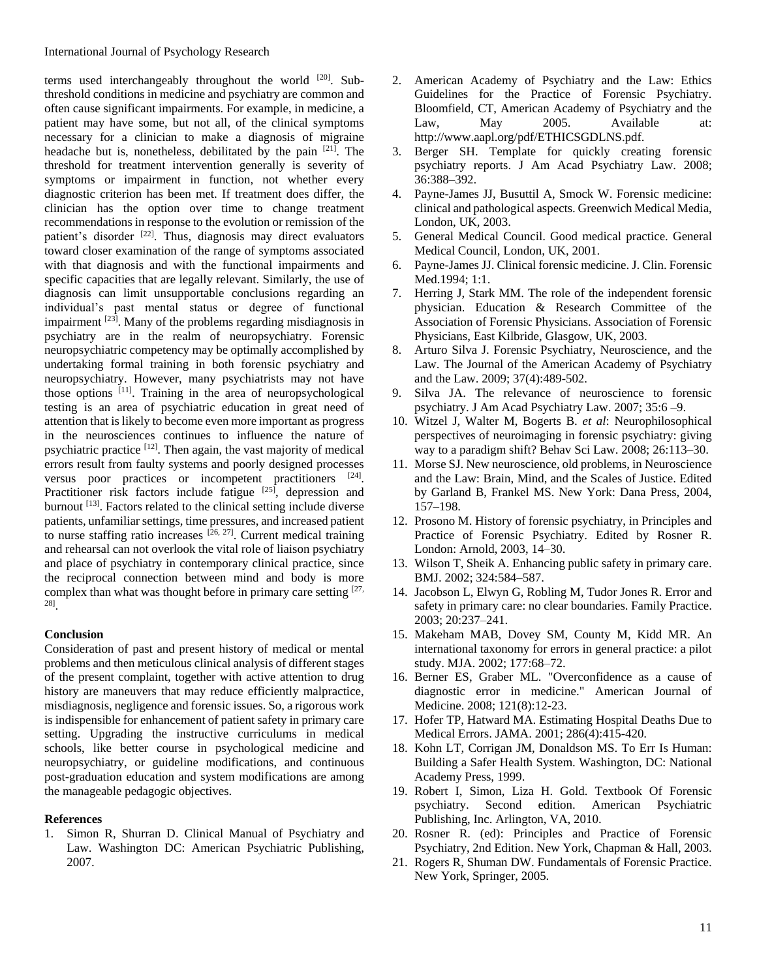terms used interchangeably throughout the world [20]. Subthreshold conditions in medicine and psychiatry are common and often cause significant impairments. For example, in medicine, a patient may have some, but not all, of the clinical symptoms necessary for a clinician to make a diagnosis of migraine headache but is, nonetheless, debilitated by the pain [21]. The threshold for treatment intervention generally is severity of symptoms or impairment in function, not whether every diagnostic criterion has been met. If treatment does differ, the clinician has the option over time to change treatment recommendations in response to the evolution or remission of the patient's disorder [22]. Thus, diagnosis may direct evaluators toward closer examination of the range of symptoms associated with that diagnosis and with the functional impairments and specific capacities that are legally relevant. Similarly, the use of diagnosis can limit unsupportable conclusions regarding an individual's past mental status or degree of functional impairment <sup>[23]</sup>. Many of the problems regarding misdiagnosis in psychiatry are in the realm of neuropsychiatry. Forensic neuropsychiatric competency may be optimally accomplished by undertaking formal training in both forensic psychiatry and neuropsychiatry. However, many psychiatrists may not have those options [11]. Training in the area of neuropsychological testing is an area of psychiatric education in great need of attention that is likely to become even more important as progress in the neurosciences continues to influence the nature of psychiatric practice [12]. Then again, the vast majority of medical errors result from faulty systems and poorly designed processes versus poor practices or incompetent practitioners <sup>[24]</sup>. Practitioner risk factors include fatigue [25], depression and burnout [13]. Factors related to the clinical setting include diverse patients, unfamiliar settings, time pressures, and increased patient to nurse staffing ratio increases <sup>[26, 27]</sup>. Current medical training and rehearsal can not overlook the vital role of liaison psychiatry and place of psychiatry in contemporary clinical practice, since the reciprocal connection between mind and body is more complex than what was thought before in primary care setting [27, 28] .

#### **Conclusion**

Consideration of past and present history of medical or mental problems and then meticulous clinical analysis of different stages of the present complaint, together with active attention to drug history are maneuvers that may reduce efficiently malpractice, misdiagnosis, negligence and forensic issues. So, a rigorous work is indispensible for enhancement of patient safety in primary care setting. Upgrading the instructive curriculums in medical schools, like better course in psychological medicine and neuropsychiatry, or guideline modifications, and continuous post-graduation education and system modifications are among the manageable pedagogic objectives.

#### **References**

1. Simon R, Shurran D. Clinical Manual of Psychiatry and Law. Washington DC: American Psychiatric Publishing, 2007.

- 2. American Academy of Psychiatry and the Law: Ethics Guidelines for the Practice of Forensic Psychiatry. Bloomfield, CT, American Academy of Psychiatry and the Law, May 2005. Available at: http://www.aapl.org/pdf/ETHICSGDLNS.pdf.
- 3. Berger SH. Template for quickly creating forensic psychiatry reports. J Am Acad Psychiatry Law. 2008; 36:388–392.
- 4. Payne-James JJ, Busuttil A, Smock W. Forensic medicine: clinical and pathological aspects. Greenwich Medical Media, London, UK, 2003.
- 5. General Medical Council. Good medical practice. General Medical Council, London, UK, 2001.
- 6. Payne-James JJ. Clinical forensic medicine. J. Clin. Forensic Med.1994; 1:1.
- 7. Herring J, Stark MM. The role of the independent forensic physician. Education & Research Committee of the Association of Forensic Physicians. Association of Forensic Physicians, East Kilbride, Glasgow, UK, 2003.
- 8. Arturo Silva J. Forensic Psychiatry, Neuroscience, and the Law. The Journal of the American Academy of Psychiatry and the Law. 2009; 37(4):489-502.
- 9. Silva JA. The relevance of neuroscience to forensic psychiatry. J Am Acad Psychiatry Law. 2007; 35:6 –9.
- 10. Witzel J, Walter M, Bogerts B. *et al*: Neurophilosophical perspectives of neuroimaging in forensic psychiatry: giving way to a paradigm shift? Behav Sci Law. 2008; 26:113–30.
- 11. Morse SJ. New neuroscience, old problems, in Neuroscience and the Law: Brain, Mind, and the Scales of Justice. Edited by Garland B, Frankel MS. New York: Dana Press, 2004, 157–198.
- 12. Prosono M. History of forensic psychiatry, in Principles and Practice of Forensic Psychiatry. Edited by Rosner R. London: Arnold, 2003, 14–30.
- 13. Wilson T, Sheik A. Enhancing public safety in primary care. BMJ. 2002; 324:584–587.
- 14. Jacobson L, Elwyn G, Robling M, Tudor Jones R. Error and safety in primary care: no clear boundaries. Family Practice. 2003; 20:237–241.
- 15. Makeham MAB, Dovey SM, County M, Kidd MR. An international taxonomy for errors in general practice: a pilot study. MJA. 2002; 177:68–72.
- 16. Berner ES, Graber ML. "Overconfidence as a cause of diagnostic error in medicine." American Journal of Medicine. 2008; 121(8):12-23.
- 17. Hofer TP, Hatward MA. Estimating Hospital Deaths Due to Medical Errors. JAMA. 2001; 286(4):415-420.
- 18. Kohn LT, Corrigan JM, Donaldson MS. To Err Is Human: Building a Safer Health System. Washington, DC: National Academy Press, 1999.
- 19. Robert I, Simon, Liza H. Gold. Textbook Of Forensic psychiatry. Second edition. American Psychiatric Publishing, Inc. Arlington, VA, 2010.
- 20. Rosner R. (ed): Principles and Practice of Forensic Psychiatry, 2nd Edition. New York, Chapman & Hall, 2003.
- 21. Rogers R, Shuman DW. Fundamentals of Forensic Practice. New York, Springer, 2005.